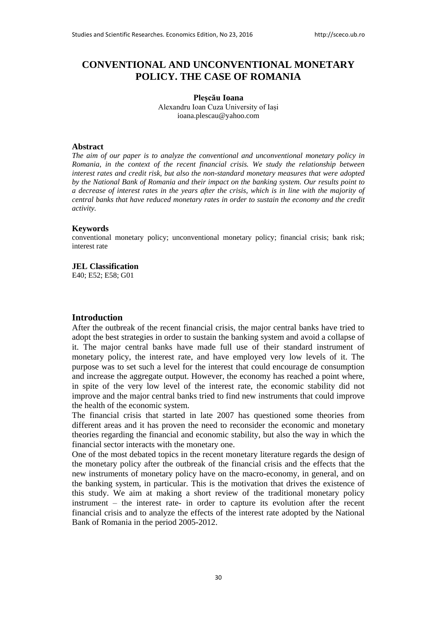# **CONVENTIONAL AND UNCONVENTIONAL MONETARY POLICY. THE CASE OF ROMANIA**

#### **Pleșcău Ioana**  Alexandru Ioan Cuza University of Iași [ioana.plescau@yahoo.com](mailto:ioana.plescau@yahoo.com)

#### **Abstract**

*The aim of our paper is to analyze the conventional and unconventional monetary policy in Romania, in the context of the recent financial crisis. We study the relationship between interest rates and credit risk, but also the non-standard monetary measures that were adopted by the National Bank of Romania and their impact on the banking system. Our results point to a decrease of interest rates in the years after the crisis, which is in line with the majority of central banks that have reduced monetary rates in order to sustain the economy and the credit activity.* 

### **Keywords**

conventional monetary policy; unconventional monetary policy; financial crisis; bank risk; interest rate

#### **JEL Classification**

E40; E52; E58; G01

#### **Introduction**

After the outbreak of the recent financial crisis, the major central banks have tried to adopt the best strategies in order to sustain the banking system and avoid a collapse of it. The major central banks have made full use of their standard instrument of monetary policy, the interest rate, and have employed very low levels of it. The purpose was to set such a level for the interest that could encourage de consumption and increase the aggregate output. However, the economy has reached a point where, in spite of the very low level of the interest rate, the economic stability did not improve and the major central banks tried to find new instruments that could improve the health of the economic system.

The financial crisis that started in late 2007 has questioned some theories from different areas and it has proven the need to reconsider the economic and monetary theories regarding the financial and economic stability, but also the way in which the financial sector interacts with the monetary one.

One of the most debated topics in the recent monetary literature regards the design of the monetary policy after the outbreak of the financial crisis and the effects that the new instruments of monetary policy have on the macro-economy, in general, and on the banking system, in particular. This is the motivation that drives the existence of this study. We aim at making a short review of the traditional monetary policy instrument – the interest rate- in order to capture its evolution after the recent financial crisis and to analyze the effects of the interest rate adopted by the National Bank of Romania in the period 2005-2012.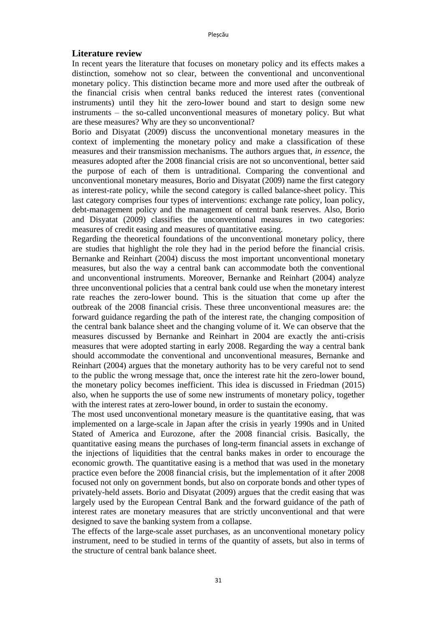### **Literature review**

In recent years the literature that focuses on monetary policy and its effects makes a distinction, somehow not so clear, between the conventional and unconventional monetary policy. This distinction became more and more used after the outbreak of the financial crisis when central banks reduced the interest rates (conventional instruments) until they hit the zero-lower bound and start to design some new instruments – the so-called unconventional measures of monetary policy. But what are these measures? Why are they so unconventional?

Borio and Disyatat (2009) discuss the unconventional monetary measures in the context of implementing the monetary policy and make a classification of these measures and their transmission mechanisms. The authors argues that, *in essence*, the measures adopted after the 2008 financial crisis are not so unconventional, better said the purpose of each of them is untraditional. Comparing the conventional and unconventional monetary measures, Borio and Disyatat (2009) name the first category as interest-rate policy, while the second category is called balance-sheet policy. This last category comprises four types of interventions: exchange rate policy, loan policy, debt-management policy and the management of central bank reserves. Also, Borio and Disyatat (2009) classifies the unconventional measures in two categories: measures of credit easing and measures of quantitative easing.

Regarding the theoretical foundations of the unconventional monetary policy, there are studies that highlight the role they had in the period before the financial crisis. Bernanke and Reinhart (2004) discuss the most important unconventional monetary measures, but also the way a central bank can accommodate both the conventional and unconventional instruments. Moreover, Bernanke and Reinhart (2004) analyze three unconventional policies that a central bank could use when the monetary interest rate reaches the zero-lower bound. This is the situation that come up after the outbreak of the 2008 financial crisis. These three unconventional measures are: the forward guidance regarding the path of the interest rate, the changing composition of the central bank balance sheet and the changing volume of it. We can observe that the measures discussed by Bernanke and Reinhart in 2004 are exactly the anti-crisis measures that were adopted starting in early 2008. Regarding the way a central bank should accommodate the conventional and unconventional measures, Bernanke and Reinhart (2004) argues that the monetary authority has to be very careful not to send to the public the wrong message that, once the interest rate hit the zero-lower bound, the monetary policy becomes inefficient. This idea is discussed in Friedman (2015) also, when he supports the use of some new instruments of monetary policy, together with the interest rates at zero-lower bound, in order to sustain the economy.

The most used unconventional monetary measure is the quantitative easing, that was implemented on a large-scale in Japan after the crisis in yearly 1990s and in United Stated of America and Eurozone, after the 2008 financial crisis. Basically, the quantitative easing means the purchases of long-term financial assets in exchange of the injections of liquidities that the central banks makes in order to encourage the economic growth. The quantitative easing is a method that was used in the monetary practice even before the 2008 financial crisis, but the implementation of it after 2008 focused not only on government bonds, but also on corporate bonds and other types of privately-held assets. Borio and Disyatat (2009) argues that the credit easing that was largely used by the European Central Bank and the forward guidance of the path of interest rates are monetary measures that are strictly unconventional and that were designed to save the banking system from a collapse.

The effects of the large-scale asset purchases, as an unconventional monetary policy instrument, need to be studied in terms of the quantity of assets, but also in terms of the structure of central bank balance sheet.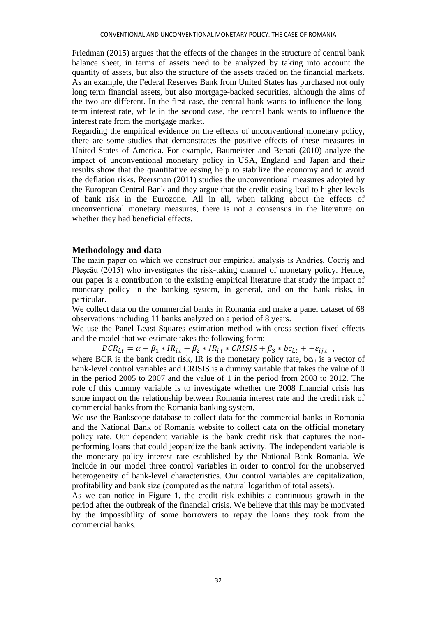Friedman (2015) argues that the effects of the changes in the structure of central bank balance sheet, in terms of assets need to be analyzed by taking into account the quantity of assets, but also the structure of the assets traded on the financial markets. As an example, the Federal Reserves Bank from United States has purchased not only long term financial assets, but also mortgage-backed securities, although the aims of the two are different. In the first case, the central bank wants to influence the longterm interest rate, while in the second case, the central bank wants to influence the interest rate from the mortgage market.

Regarding the empirical evidence on the effects of unconventional monetary policy, there are some studies that demonstrates the positive effects of these measures in United States of America. For example, Baumeister and Benati (2010) analyze the impact of unconventional monetary policy in USA, England and Japan and their results show that the quantitative easing help to stabilize the economy and to avoid the deflation risks. Peersman (2011) studies the unconventional measures adopted by the European Central Bank and they argue that the credit easing lead to higher levels of bank risk in the Eurozone. All in all, when talking about the effects of unconventional monetary measures, there is not a consensus in the literature on whether they had beneficial effects.

### **Methodology and data**

The main paper on which we construct our empirical analysis is Andrieș, Cocriș and Plescău (2015) who investigates the risk-taking channel of monetary policy. Hence, our paper is a contribution to the existing empirical literature that study the impact of monetary policy in the banking system, in general, and on the bank risks, in particular.

We collect data on the commercial banks in Romania and make a panel dataset of 68 observations including 11 banks analyzed on a period of 8 years.

We use the Panel Least Squares estimation method with cross-section fixed effects and the model that we estimate takes the following form:

 $BCR_{i,t} = \alpha + \beta_1 * IR_{i,t} + \beta_2 * IR_{i,t} * CRISIS + \beta_3 * bc_{i,t} + +\varepsilon_{ij,t} ,$ 

where BCR is the bank credit risk, IR is the monetary policy rate,  $bc_{i,t}$  is a vector of bank-level control variables and CRISIS is a dummy variable that takes the value of 0 in the period 2005 to 2007 and the value of 1 in the period from 2008 to 2012. The role of this dummy variable is to investigate whether the 2008 financial crisis has some impact on the relationship between Romania interest rate and the credit risk of commercial banks from the Romania banking system.

We use the Bankscope database to collect data for the commercial banks in Romania and the National Bank of Romania website to collect data on the official monetary policy rate. Our dependent variable is the bank credit risk that captures the nonperforming loans that could jeopardize the bank activity. The independent variable is the monetary policy interest rate established by the National Bank Romania. We include in our model three control variables in order to control for the unobserved heterogeneity of bank-level characteristics. Our control variables are capitalization, profitability and bank size (computed as the natural logarithm of total assets).

As we can notice in Figure 1, the credit risk exhibits a continuous growth in the period after the outbreak of the financial crisis. We believe that this may be motivated by the impossibility of some borrowers to repay the loans they took from the commercial banks.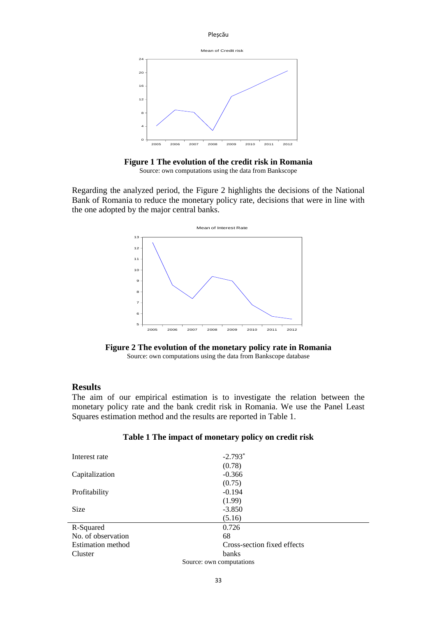



**Figure 1 The evolution of the credit risk in Romania**  Source: own computations using the data from Bankscope

Regarding the analyzed period, the Figure 2 highlights the decisions of the National Bank of Romania to reduce the monetary policy rate, decisions that were in line with the one adopted by the major central banks.



**Figure 2 The evolution of the monetary policy rate in Romania** Source: own computations using the data from Bankscope database

## **Results**

The aim of our empirical estimation is to investigate the relation between the monetary policy rate and the bank credit risk in Romania. We use the Panel Least Squares estimation method and the results are reported in Table 1.

| Table 1 The impact of monetary policy on credit risk |  |  |  |  |  |
|------------------------------------------------------|--|--|--|--|--|
|------------------------------------------------------|--|--|--|--|--|

| Interest rate            | $-2.793*$                   |  |  |  |
|--------------------------|-----------------------------|--|--|--|
|                          | (0.78)                      |  |  |  |
| Capitalization           | $-0.366$                    |  |  |  |
|                          | (0.75)                      |  |  |  |
| Profitability            | $-0.194$                    |  |  |  |
|                          | (1.99)                      |  |  |  |
| <b>Size</b>              | $-3.850$                    |  |  |  |
|                          | (5.16)                      |  |  |  |
| R-Squared                | 0.726                       |  |  |  |
| No. of observation       | 68                          |  |  |  |
| <b>Estimation method</b> | Cross-section fixed effects |  |  |  |
| Cluster                  | banks                       |  |  |  |
| Source: own computations |                             |  |  |  |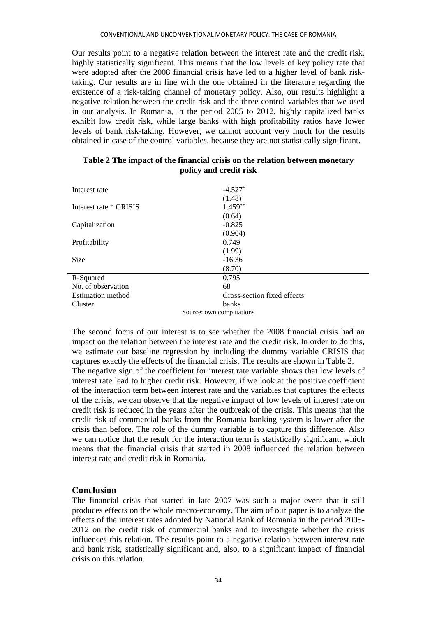Our results point to a negative relation between the interest rate and the credit risk, highly statistically significant. This means that the low levels of key policy rate that were adopted after the 2008 financial crisis have led to a higher level of bank risktaking. Our results are in line with the one obtained in the literature regarding the existence of a risk-taking channel of monetary policy. Also, our results highlight a negative relation between the credit risk and the three control variables that we used in our analysis. In Romania, in the period 2005 to 2012, highly capitalized banks exhibit low credit risk, while large banks with high profitability ratios have lower levels of bank risk-taking. However, we cannot account very much for the results obtained in case of the control variables, because they are not statistically significant.

| Interest rate            | $-4.527*$                   |  |  |  |
|--------------------------|-----------------------------|--|--|--|
|                          | (1.48)                      |  |  |  |
| Interest rate * CRISIS   | $1.459**$                   |  |  |  |
|                          | (0.64)                      |  |  |  |
| Capitalization           | $-0.825$                    |  |  |  |
|                          | (0.904)                     |  |  |  |
| Profitability            | 0.749                       |  |  |  |
|                          | (1.99)                      |  |  |  |
| <b>Size</b>              | $-16.36$                    |  |  |  |
|                          | (8.70)                      |  |  |  |
| R-Squared                | 0.795                       |  |  |  |
| No. of observation       | 68                          |  |  |  |
| <b>Estimation method</b> | Cross-section fixed effects |  |  |  |
| Cluster                  | banks                       |  |  |  |
| Source: own computations |                             |  |  |  |

### **Table 2 The impact of the financial crisis on the relation between monetary policy and credit risk**

The second focus of our interest is to see whether the 2008 financial crisis had an impact on the relation between the interest rate and the credit risk. In order to do this, we estimate our baseline regression by including the dummy variable CRISIS that captures exactly the effects of the financial crisis. The results are shown in Table 2. The negative sign of the coefficient for interest rate variable shows that low levels of interest rate lead to higher credit risk. However, if we look at the positive coefficient of the interaction term between interest rate and the variables that captures the effects of the crisis, we can observe that the negative impact of low levels of interest rate on credit risk is reduced in the years after the outbreak of the crisis. This means that the credit risk of commercial banks from the Romania banking system is lower after the crisis than before. The role of the dummy variable is to capture this difference. Also we can notice that the result for the interaction term is statistically significant, which means that the financial crisis that started in 2008 influenced the relation between interest rate and credit risk in Romania.

# **Conclusion**

The financial crisis that started in late 2007 was such a major event that it still produces effects on the whole macro-economy. The aim of our paper is to analyze the effects of the interest rates adopted by National Bank of Romania in the period 2005- 2012 on the credit risk of commercial banks and to investigate whether the crisis influences this relation. The results point to a negative relation between interest rate and bank risk, statistically significant and, also, to a significant impact of financial crisis on this relation.